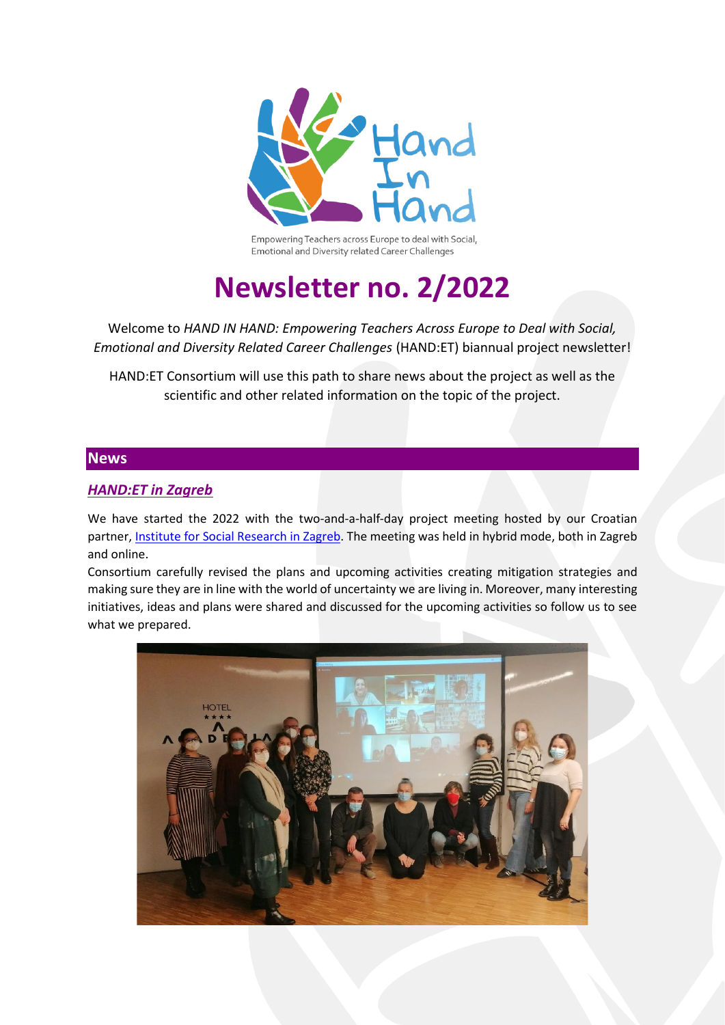

Empowering Teachers across Europe to deal with Social, Emotional and Diversity related Career Challenges

# **Newsletter no. 2/2022**

Welcome to *HAND IN HAND: Empowering Teachers Across Europe to Deal with Social, Emotional and Diversity Related Career Challenges* (HAND:ET) biannual project newsletter!

HAND:ET Consortium will use this path to share news about the project as well as the scientific and other related information on the topic of the project.

#### **News**

## *HAND:ET in Zagreb*

We have started the 2022 with the two-and-a-half-day project meeting hosted by our Croatian partner, [Institute for Social Research in Zagreb.](https://www.idi.hr/en/) The meeting was held in hybrid mode, both in Zagreb and online.

Consortium carefully revised the plans and upcoming activities creating mitigation strategies and making sure they are in line with the world of uncertainty we are living in. Moreover, many interesting initiatives, ideas and plans were shared and discussed for the upcoming activities so follow us to see what we prepared.

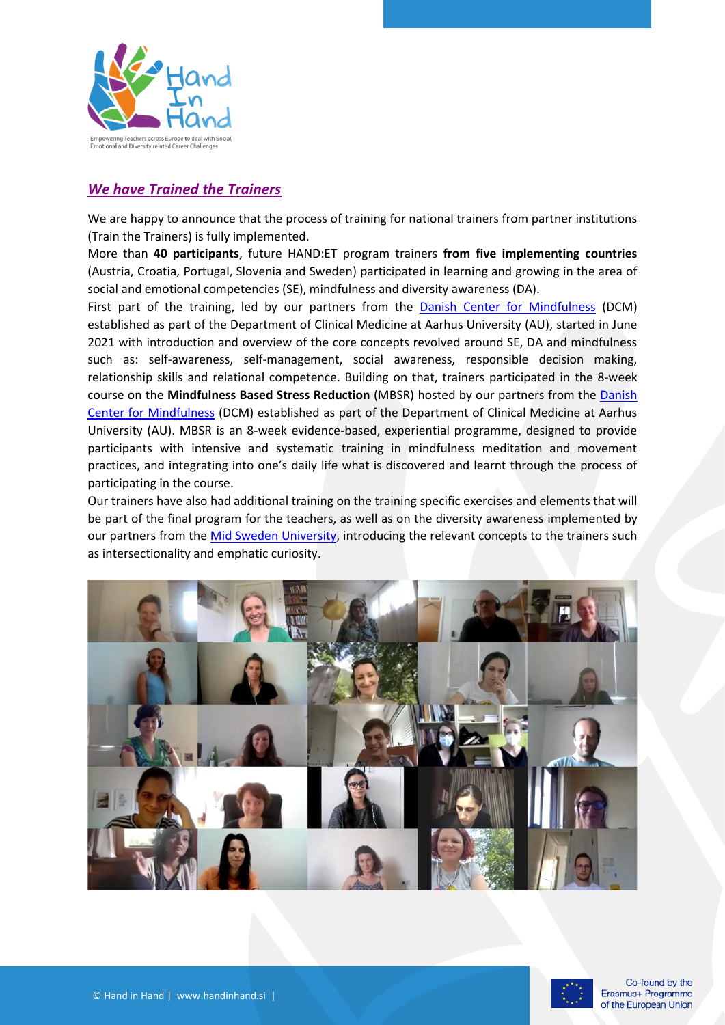

### *We have Trained the Trainers*

We are happy to announce that the process of training for national trainers from partner institutions (Train the Trainers) is fully implemented.

More than **40 participants**, future HAND:ET program trainers **from five implementing countries** (Austria, Croatia, Portugal, Slovenia and Sweden) participated in learning and growing in the area of social and emotional competencies (SE), mindfulness and diversity awareness (DA).

First part of the training, led by our partners from the [Danish Center for Mindfulness](https://mindfulness.au.dk/) (DCM) established as part of the Department of Clinical Medicine at Aarhus University (AU), started in June 2021 with introduction and overview of the core concepts revolved around SE, DA and mindfulness such as: self-awareness, self-management, social awareness, responsible decision making, relationship skills and relational competence. Building on that, trainers participated in the 8-week course on the **Mindfulness Based Stress Reduction** (MBSR) hosted by our partners from the [Danish](https://mindfulness.au.dk/)  [Center for Mindfulness](https://mindfulness.au.dk/) (DCM) established as part of the Department of Clinical Medicine at Aarhus University (AU). MBSR is an 8-week evidence-based, experiential programme, designed to provide participants with intensive and systematic training in mindfulness meditation and movement practices, and integrating into one's daily life what is discovered and learnt through the process of participating in the course.

Our trainers have also had additional training on the training specific exercises and elements that will be part of the final program for the teachers, as well as on the diversity awareness implemented by our partners from th[e Mid Sweden University,](https://www.miun.se/en/) introducing the relevant concepts to the trainers such as intersectionality and emphatic curiosity.



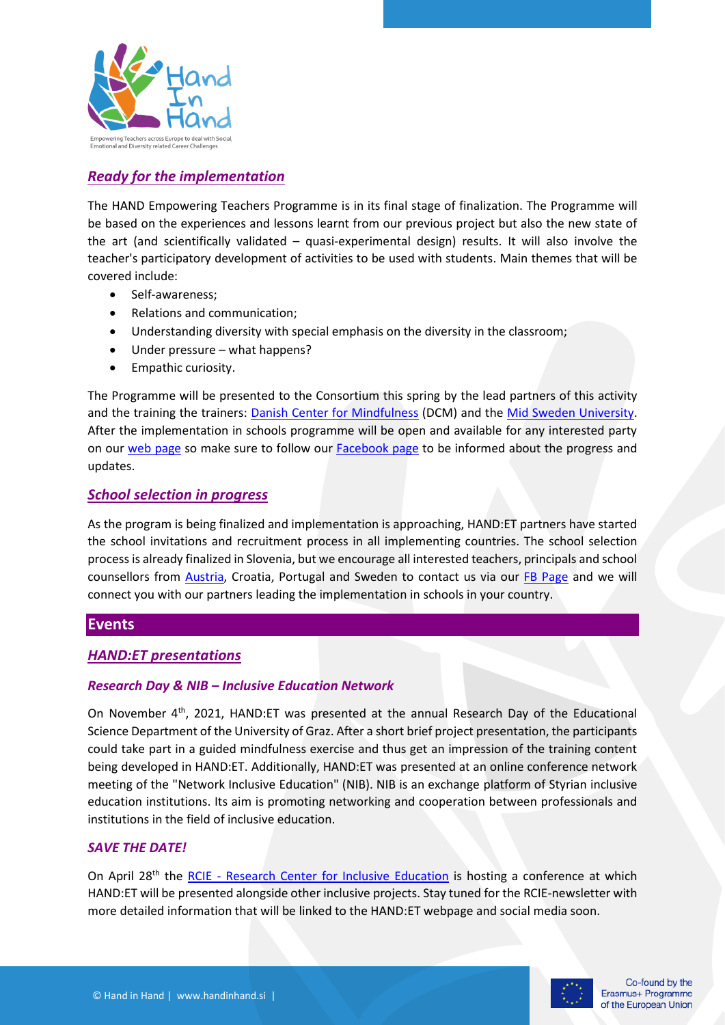

## *Ready for the implementation*

The HAND Empowering Teachers Programme is in its final stage of finalization. The Programme will be based on the experiences and lessons learnt from our previous project but also the new state of the art (and scientifically validated – quasi-experimental design) results. It will also involve the teacher's participatory development of activities to be used with students. Main themes that will be covered include:

- Self-awareness;
- Relations and communication;
- Understanding diversity with special emphasis on the diversity in the classroom;
- Under pressure what happens?
- Empathic curiosity.

The Programme will be presented to the Consortium this spring by the lead partners of this activity and the training the trainers: [Danish Center for Mindfulness](https://mindfulness.au.dk/) (DCM) and the [Mid Sweden University.](https://www.miun.se/en/) After the implementation in schools programme will be open and available for any interested party on our [web page](https://handinhand.si/en/) so make sure to follow our [Facebook page](https://www.facebook.com/HANDinHAND.si) to be informed about the progress and updates.

#### *School selection in progress*

As the program is being finalized and implementation is approaching, HAND:ET partners have started the school invitations and recruitment process in all implementing countries. The school selection process is already finalized in Slovenia, but we encourage all interested teachers, principals and school counsellors from [Austria,](https://static.uni-graz.at/fileadmin/urbi-institute/Paedagogisch-Professionalisierung/pdfs/Forschung/HAnd_ET/HAND_ET_Flyer_260122.pdf) Croatia, Portugal and Sweden to contact us via our [FB Page](https://www.facebook.com/HANDinHAND.si) and we will connect you with our partners leading the implementation in schools in your country.

#### **Events**

#### *HAND:ET presentations*

#### *Research Day & NIB – Inclusive Education Network*

On November 4<sup>th</sup>, 2021, HAND:ET was presented at the annual Research Day of the Educational Science Department of the University of Graz. After a short brief project presentation, the participants could take part in a guided mindfulness exercise and thus get an impression of the training content being developed in HAND:ET. Additionally, HAND:ET was presented at an online conference network meeting of the "Network Inclusive Education" (NIB). NIB is an exchange platform of Styrian inclusive education institutions. Its aim is promoting networking and cooperation between professionals and institutions in the field of inclusive education.

#### *SAVE THE DATE!*

On April 28<sup>th</sup> the RCIE - [Research Center for Inclusive Education](https://fzib.at/en) is hosting a conference at which HAND:ET will be presented alongside other inclusive projects. Stay tuned for the RCIE-newsletter with more detailed information that will be linked to the HAND:ET webpage and social media soon.